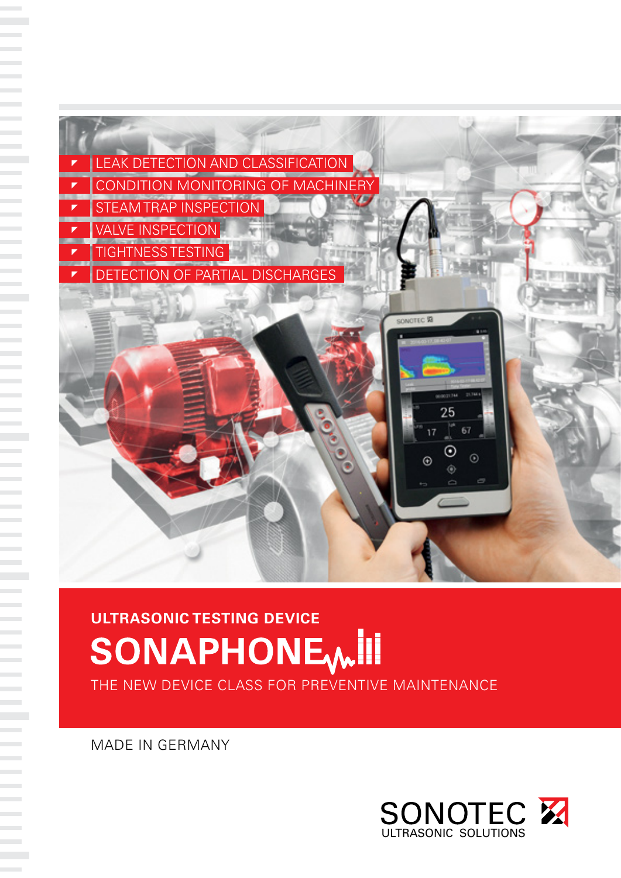

# ULTRASONIC TESTING DEVICE<br>SONAPHONE

THE NEW DEVICE CLASS FOR PREVENTIVE MAINTENANCE

MADE IN GERMANY

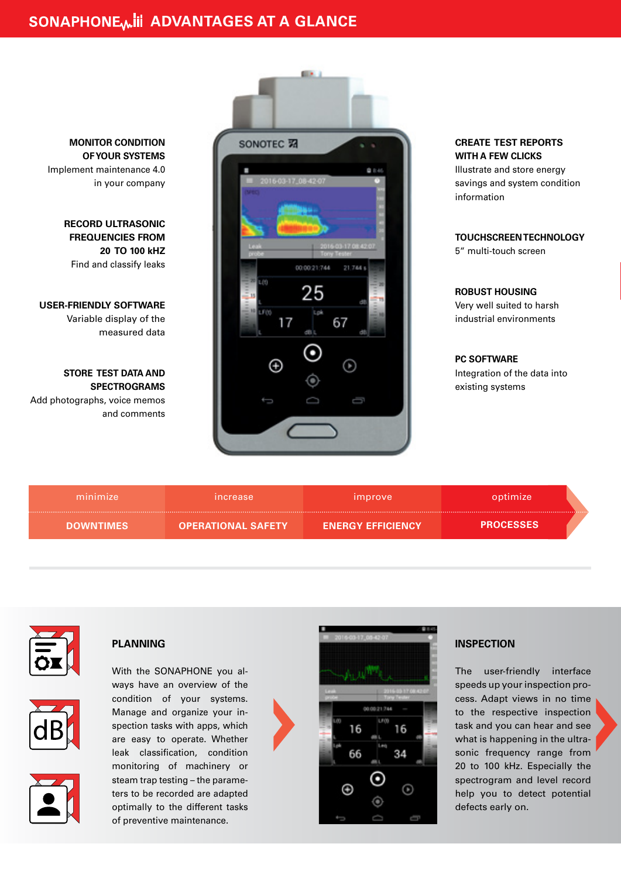

**MONITOR CONDITION OF YOUR SYSTEMS** Implement maintenance 4.0 in your company

> **RECORD ULTRASONIC FREQUENCIES FROM 20 TO 100 kHZ** Find and classify leaks

**USER-FRIENDLY SOFTWARE** Variable display of the measured data

**STORE TEST DATA AND SPECTROGRAMS**

Add photographs, voice memos and comments **CREATE TEST REPORTS WITH A FEW CLICKS**

Illustrate and store energy savings and system condition information

**TOUCHSCREEN TECHNOLOGY** 5" multi-touch screen

**ROBUST HOUSING** Very well suited to harsh industrial environments

**PC SOFTWARE**  Integration of the data into existing systems

| minimize         | <i><b>Increase</b></i>    | <i>improve</i>           | optimize         |
|------------------|---------------------------|--------------------------|------------------|
| <b>DOWNTIMES</b> | <b>OPERATIONAL SAFETY</b> | <b>ENERGY EFFICIENCY</b> | <b>PROCESSES</b> |



#### **PLANNING**

With the SONAPHONE you always have an overview of the condition of your systems. Manage and organize your inspection tasks with apps, which are easy to operate. Whether leak classification, condition monitoring of machinery or steam trap testing – the parameters to be recorded are adapted optimally to the different tasks of preventive maintenance.





#### **INSPECTION**

The user-friendly interface speeds up your inspection process. Adapt views in no time to the respective inspection task and you can hear and see what is happening in the ultrasonic frequency range from 20 to 100 kHz. Especially the spectrogram and level record help you to detect potential defects early on.

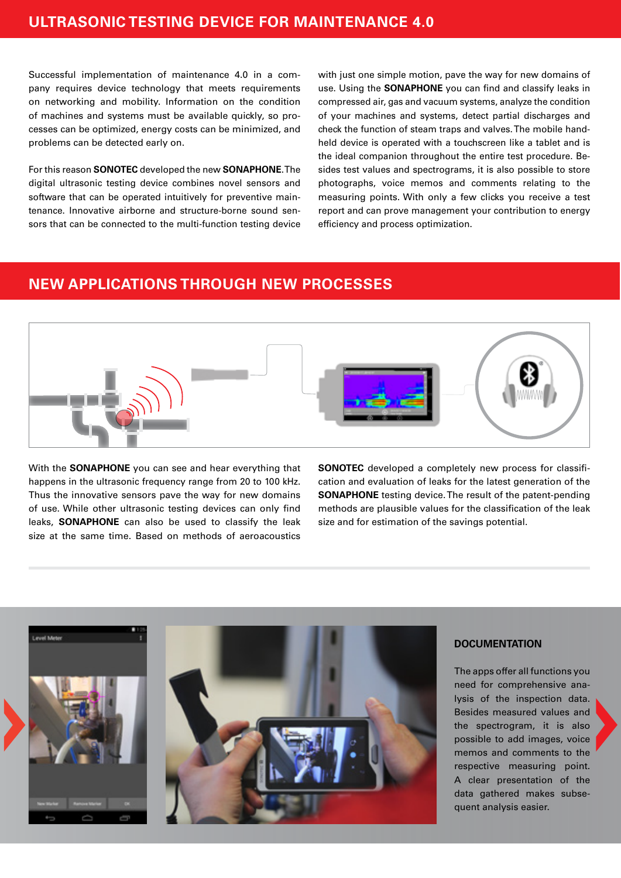Successful implementation of maintenance 4.0 in a company requires device technology that meets requirements on networking and mobility. Information on the condition of machines and systems must be available quickly, so processes can be optimized, energy costs can be minimized, and problems can be detected early on.

For this reason **SONOTEC** developed the new **SONAPHONE**. The digital ultrasonic testing device combines novel sensors and software that can be operated intuitively for preventive maintenance. Innovative airborne and structure-borne sound sensors that can be connected to the multi-function testing device with just one simple motion, pave the way for new domains of use. Using the **SONAPHONE** you can find and classify leaks in compressed air, gas and vacuum systems, analyze the condition of your machines and systems, detect partial discharges and check the function of steam traps and valves. The mobile handheld device is operated with a touchscreen like a tablet and is the ideal companion throughout the entire test procedure. Besides test values and spectrograms, it is also possible to store photographs, voice memos and comments relating to the measuring points. With only a few clicks you receive a test report and can prove management your contribution to energy efficiency and process optimization.

## **NEW APPLICATIONS THROUGH NEW PROCESSES**



With the **SONAPHONE** you can see and hear everything that happens in the ultrasonic frequency range from 20 to 100 kHz. Thus the innovative sensors pave the way for new domains of use. While other ultrasonic testing devices can only find leaks, **SONAPHONE** can also be used to classify the leak size at the same time. Based on methods of aeroacoustics

**SONOTEC** developed a completely new process for classification and evaluation of leaks for the latest generation of the **SONAPHONE** testing device. The result of the patent-pending methods are plausible values for the classification of the leak size and for estimation of the savings potential.



#### **DOCUMENTATION**

The apps offer all functions you need for comprehensive analysis of the inspection data. Besides measured values and the spectrogram, it is also possible to add images, voice memos and comments to the respective measuring point. A clear presentation of the data gathered makes subsequent analysis easier.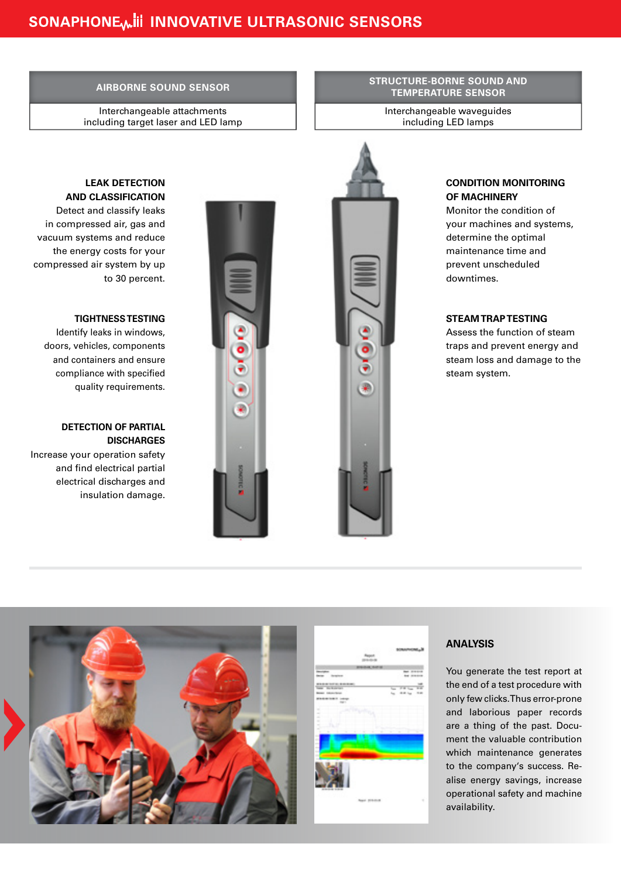**AIRBORNE SOUND SENSOR STRUCTURE-BORNE SOUND AND TEMPERATURE SENSOR**

> Interchangeable waveguides including LED lamps

Interchangeable attachments including target laser and LED lamp

**SOFO** 

#### **CONDITION MONITORING OF MACHINERY**

Monitor the condition of your machines and systems, determine the optimal maintenance time and prevent unscheduled downtimes.

#### **STEAM TRAP TESTING**

Assess the function of steam traps and prevent energy and steam loss and damage to the steam system.

#### **LEAK DETECTION AND CLASSIFICATION**

Detect and classify leaks in compressed air, gas and vacuum systems and reduce the energy costs for your compressed air system by up to 30 percent.

#### **TIGHTNESS TESTING**

 Identify leaks in windows, doors, vehicles, components and containers and ensure compliance with specified quality requirements.

#### **DETECTION OF PARTIAL DISCHARGES**

Increase your operation safety and find electrical partial electrical discharges and insulation damage.





#### **ANALYSIS**

You generate the test report at the end of a test procedure with only few clicks. Thus error-prone and laborious paper records are a thing of the past. Document the valuable contribution which maintenance generates to the company's success. Realise energy savings, increase operational safety and machine availability.

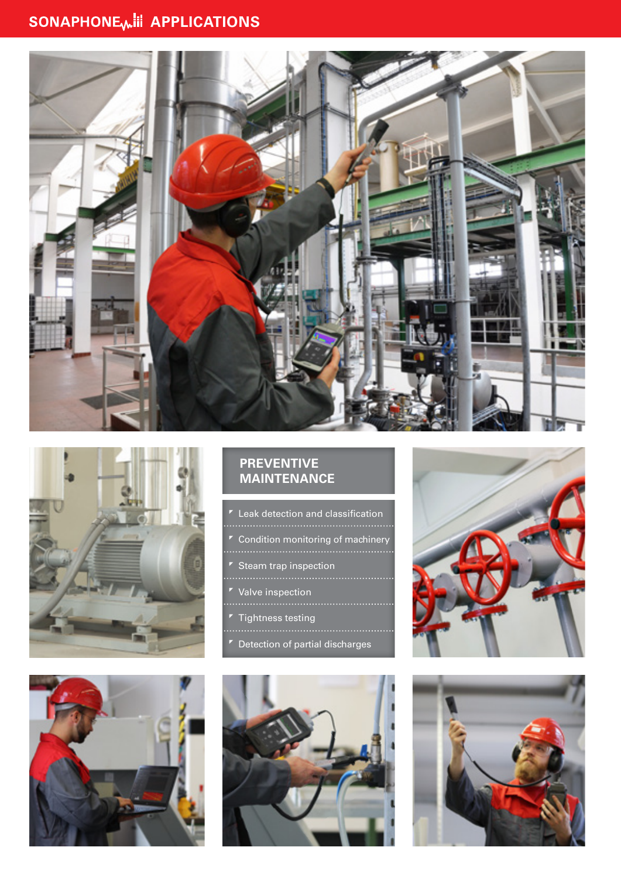# SONAPHONE<sub>W</sub>III APPLICATIONS







### **PREVENTIVE MAINTENANCE**

- Leak detection and classification
- Condition monitoring of machinery
- Steam trap inspection
- 
- Valve inspection
- Tightness testing
- 
- Detection of partial discharges